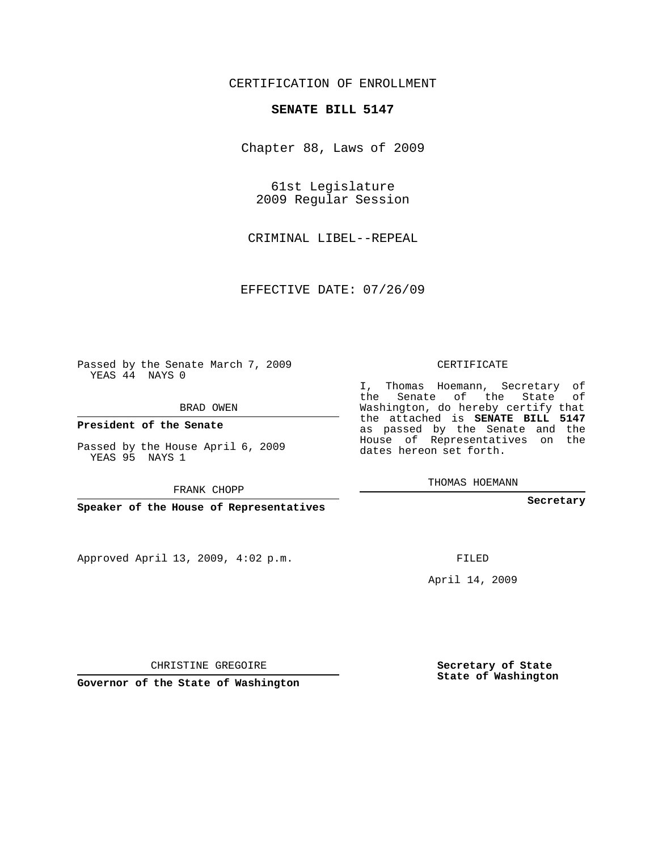## CERTIFICATION OF ENROLLMENT

## **SENATE BILL 5147**

Chapter 88, Laws of 2009

61st Legislature 2009 Regular Session

CRIMINAL LIBEL--REPEAL

EFFECTIVE DATE: 07/26/09

Passed by the Senate March 7, 2009 YEAS 44 NAYS 0

BRAD OWEN

**President of the Senate**

Passed by the House April 6, 2009 YEAS 95 NAYS 1

FRANK CHOPP

**Speaker of the House of Representatives**

Approved April 13, 2009, 4:02 p.m.

CERTIFICATE

I, Thomas Hoemann, Secretary of the Senate of the State of Washington, do hereby certify that the attached is **SENATE BILL 5147** as passed by the Senate and the House of Representatives on the dates hereon set forth.

THOMAS HOEMANN

**Secretary**

FILED

April 14, 2009

CHRISTINE GREGOIRE

**Governor of the State of Washington**

**Secretary of State State of Washington**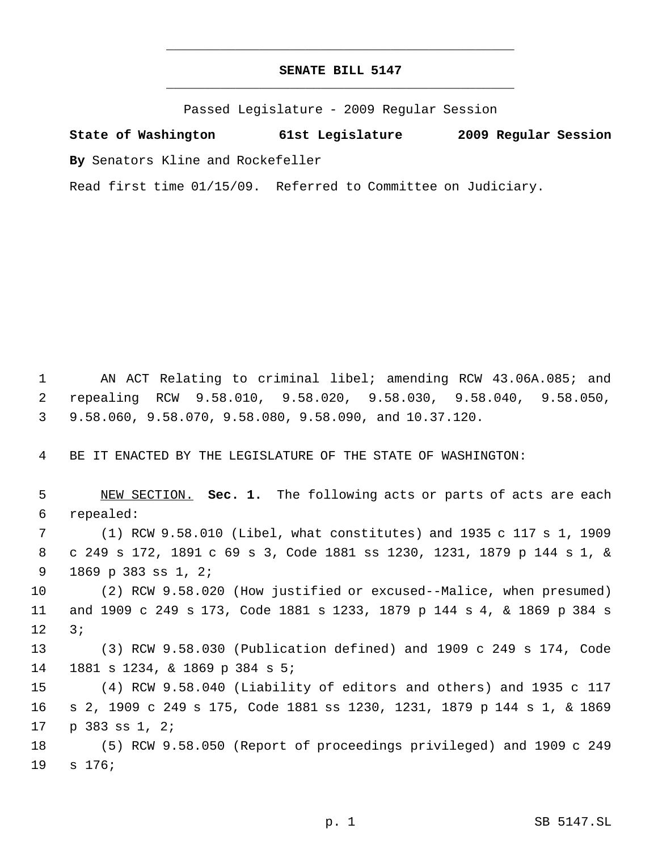## **SENATE BILL 5147** \_\_\_\_\_\_\_\_\_\_\_\_\_\_\_\_\_\_\_\_\_\_\_\_\_\_\_\_\_\_\_\_\_\_\_\_\_\_\_\_\_\_\_\_\_

\_\_\_\_\_\_\_\_\_\_\_\_\_\_\_\_\_\_\_\_\_\_\_\_\_\_\_\_\_\_\_\_\_\_\_\_\_\_\_\_\_\_\_\_\_

Passed Legislature - 2009 Regular Session

**State of Washington 61st Legislature 2009 Regular Session By** Senators Kline and Rockefeller

Read first time 01/15/09. Referred to Committee on Judiciary.

 AN ACT Relating to criminal libel; amending RCW 43.06A.085; and repealing RCW 9.58.010, 9.58.020, 9.58.030, 9.58.040, 9.58.050, 9.58.060, 9.58.070, 9.58.080, 9.58.090, and 10.37.120.

BE IT ENACTED BY THE LEGISLATURE OF THE STATE OF WASHINGTON:

 NEW SECTION. **Sec. 1.** The following acts or parts of acts are each repealed: (1) RCW 9.58.010 (Libel, what constitutes) and 1935 c 117 s 1, 1909 c 249 s 172, 1891 c 69 s 3, Code 1881 ss 1230, 1231, 1879 p 144 s 1, & 1869 p 383 ss 1, 2; (2) RCW 9.58.020 (How justified or excused--Malice, when presumed) and 1909 c 249 s 173, Code 1881 s 1233, 1879 p 144 s 4, & 1869 p 384 s 3; (3) RCW 9.58.030 (Publication defined) and 1909 c 249 s 174, Code 1881 s 1234, & 1869 p 384 s 5; (4) RCW 9.58.040 (Liability of editors and others) and 1935 c 117 s 2, 1909 c 249 s 175, Code 1881 ss 1230, 1231, 1879 p 144 s 1, & 1869 p 383 ss 1, 2; (5) RCW 9.58.050 (Report of proceedings privileged) and 1909 c 249 s 176;